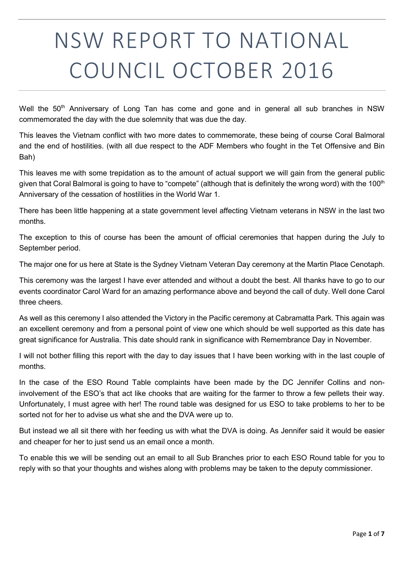# NSW REPORT TO NATIONAL COUNCIL OCTOBER 2016

Well the 50<sup>th</sup> Anniversary of Long Tan has come and gone and in general all sub branches in NSW commemorated the day with the due solemnity that was due the day.

This leaves the Vietnam conflict with two more dates to commemorate, these being of course Coral Balmoral and the end of hostilities. (with all due respect to the ADF Members who fought in the Tet Offensive and Bin Bah)

This leaves me with some trepidation as to the amount of actual support we will gain from the general public given that Coral Balmoral is going to have to "compete" (although that is definitely the wrong word) with the 100<sup>th</sup> Anniversary of the cessation of hostilities in the World War 1.

There has been little happening at a state government level affecting Vietnam veterans in NSW in the last two months.

The exception to this of course has been the amount of official ceremonies that happen during the July to September period.

The major one for us here at State is the Sydney Vietnam Veteran Day ceremony at the Martin Place Cenotaph.

This ceremony was the largest I have ever attended and without a doubt the best. All thanks have to go to our events coordinator Carol Ward for an amazing performance above and beyond the call of duty. Well done Carol three cheers.

As well as this ceremony I also attended the Victory in the Pacific ceremony at Cabramatta Park. This again was an excellent ceremony and from a personal point of view one which should be well supported as this date has great significance for Australia. This date should rank in significance with Remembrance Day in November.

I will not bother filling this report with the day to day issues that I have been working with in the last couple of months.

In the case of the ESO Round Table complaints have been made by the DC Jennifer Collins and noninvolvement of the ESO's that act like chooks that are waiting for the farmer to throw a few pellets their way. Unfortunately, I must agree with her! The round table was designed for us ESO to take problems to her to be sorted not for her to advise us what she and the DVA were up to.

But instead we all sit there with her feeding us with what the DVA is doing. As Jennifer said it would be easier and cheaper for her to just send us an email once a month.

To enable this we will be sending out an email to all Sub Branches prior to each ESO Round table for you to reply with so that your thoughts and wishes along with problems may be taken to the deputy commissioner.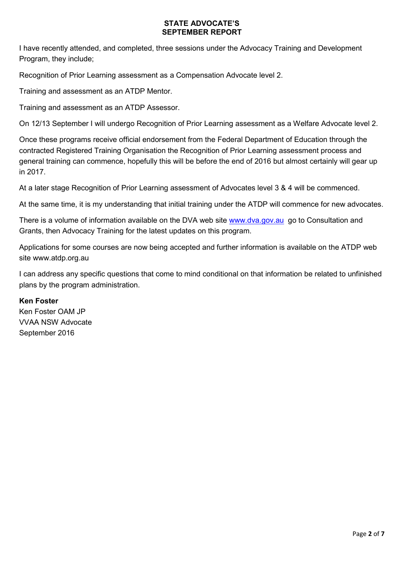## STATE ADVOCATE'S SEPTEMBER REPORT

I have recently attended, and completed, three sessions under the Advocacy Training and Development Program, they include;

Recognition of Prior Learning assessment as a Compensation Advocate level 2.

Training and assessment as an ATDP Mentor.

Training and assessment as an ATDP Assessor.

On 12/13 September I will undergo Recognition of Prior Learning assessment as a Welfare Advocate level 2.

Once these programs receive official endorsement from the Federal Department of Education through the contracted Registered Training Organisation the Recognition of Prior Learning assessment process and general training can commence, hopefully this will be before the end of 2016 but almost certainly will gear up in 2017.

At a later stage Recognition of Prior Learning assessment of Advocates level 3 & 4 will be commenced.

At the same time, it is my understanding that initial training under the ATDP will commence for new advocates.

There is a volume of information available on the DVA web site www.dva.gov.au go to Consultation and Grants, then Advocacy Training for the latest updates on this program.

Applications for some courses are now being accepted and further information is available on the ATDP web site www.atdp.org.au

I can address any specific questions that come to mind conditional on that information be related to unfinished plans by the program administration.

## Ken Foster

Ken Foster OAM JP VVAA NSW Advocate September 2016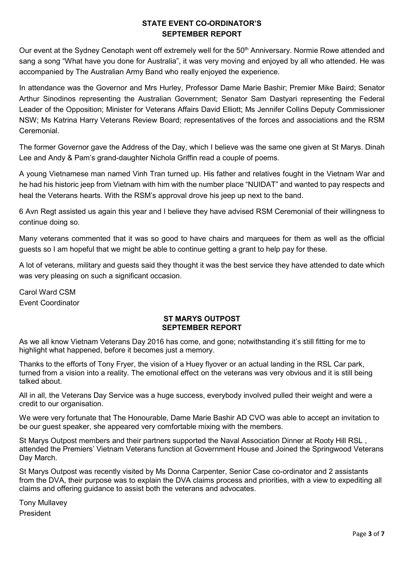# STATE EVENT CO-ORDINATOR'S SEPTEMBER REPORT

Our event at the Sydney Cenotaph went off extremely well for the 50<sup>th</sup> Anniversary. Normie Rowe attended and sang a song "What have you done for Australia", it was very moving and enjoyed by all who attended. He was accompanied by The Australian Army Band who really enjoyed the experience.

In attendance was the Governor and Mrs Hurley, Professor Dame Marie Bashir; Premier Mike Baird; Senator Arthur Sinodinos representing the Australian Government; Senator Sam Dastyari representing the Federal Leader of the Opposition; Minister for Veterans Affairs David Elliott; Ms Jennifer Collins Deputy Commissioner NSW; Ms Katrina Harry Veterans Review Board; representatives of the forces and associations and the RSM Ceremonial.

The former Governor gave the Address of the Day, which I believe was the same one given at St Marys. Dinah Lee and Andy & Pam's grand-daughter Nichola Griffin read a couple of poems.

A young Vietnamese man named Vinh Tran turned up. His father and relatives fought in the Vietnam War and he had his historic jeep from Vietnam with him with the number place "NUIDAT" and wanted to pay respects and heal the Veterans hearts. With the RSM's approval drove his jeep up next to the band.

6 Avn Regt assisted us again this year and I believe they have advised RSM Ceremonial of their willingness to continue doing so.

Many veterans commented that it was so good to have chairs and marquees for them as well as the official guests so I am hopeful that we might be able to continue getting a grant to help pay for these.

A lot of veterans, military and guests said they thought it was the best service they have attended to date which was very pleasing on such a significant occasion.

Carol Ward CSM Event Coordinator

## ST MARYS OUTPOST SEPTEMBER REPORT

As we all know Vietnam Veterans Day 2016 has come, and gone; notwithstanding it's still fitting for me to highlight what happened, before it becomes just a memory.

Thanks to the efforts of Tony Fryer, the vision of a Huey flyover or an actual landing in the RSL Car park, turned from a vision into a reality. The emotional effect on the veterans was very obvious and it is still being talked about.

All in all, the Veterans Day Service was a huge success, everybody involved pulled their weight and were a credit to our organisation.

We were very fortunate that The Honourable, Dame Marie Bashir AD CVO was able to accept an invitation to be our guest speaker, she appeared very comfortable mixing with the members.

St Marys Outpost members and their partners supported the Naval Association Dinner at Rooty Hill RSL , attended the Premiers' Vietnam Veterans function at Government House and Joined the Springwood Veterans Day March.

St Marys Outpost was recently visited by Ms Donna Carpenter, Senior Case co-ordinator and 2 assistants from the DVA, their purpose was to explain the DVA claims process and priorities, with a view to expediting all claims and offering guidance to assist both the veterans and advocates.

Tony Mullavey President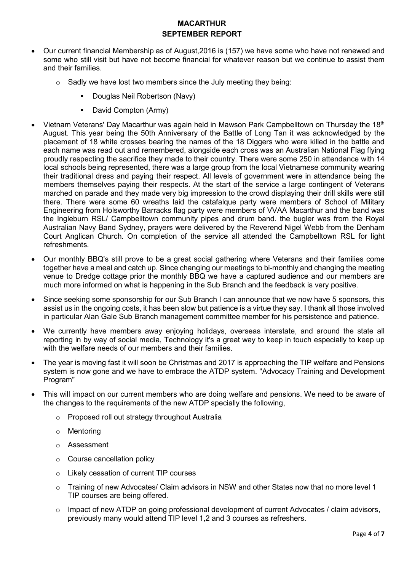# MACARTHUR SEPTEMBER REPORT

- Our current financial Membership as of August,2016 is (157) we have some who have not renewed and some who still visit but have not become financial for whatever reason but we continue to assist them and their families.
	- $\circ$  Sadly we have lost two members since the July meeting they being:
		- **Douglas Neil Robertson (Navy)**
		- **David Compton (Army)**
- Vietnam Veterans' Day Macarthur was again held in Mawson Park Campbelltown on Thursday the 18th August. This year being the 50th Anniversary of the Battle of Long Tan it was acknowledged by the placement of 18 white crosses bearing the names of the 18 Diggers who were killed in the battle and each name was read out and remembered, alongside each cross was an Australian National Flag flying proudly respecting the sacrifice they made to their country. There were some 250 in attendance with 14 local schools being represented, there was a large group from the local Vietnamese community wearing their traditional dress and paying their respect. All levels of government were in attendance being the members themselves paying their respects. At the start of the service a large contingent of Veterans marched on parade and they made very big impression to the crowd displaying their drill skills were still there. There were some 60 wreaths laid the catafalque party were members of School of Military Engineering from Holsworthy Barracks flag party were members of VVAA Macarthur and the band was the Ingleburn RSL/ Campbelltown community pipes and drum band. the bugler was from the Royal Australian Navy Band Sydney, prayers were delivered by the Reverend Nigel Webb from the Denham Court Anglican Church. On completion of the service all attended the Campbelltown RSL for light refreshments.
- Our monthly BBQ's still prove to be a great social gathering where Veterans and their families come together have a meal and catch up. Since changing our meetings to bi-monthly and changing the meeting venue to Dredge cottage prior the monthly BBQ we have a captured audience and our members are much more informed on what is happening in the Sub Branch and the feedback is very positive.
- Since seeking some sponsorship for our Sub Branch I can announce that we now have 5 sponsors, this assist us in the ongoing costs, it has been slow but patience is a virtue they say. I thank all those involved in particular Alan Gale Sub Branch management committee member for his persistence and patience.
- We currently have members away enjoying holidays, overseas interstate, and around the state all reporting in by way of social media, Technology it's a great way to keep in touch especially to keep up with the welfare needs of our members and their families
- The year is moving fast it will soon be Christmas and 2017 is approaching the TIP welfare and Pensions system is now gone and we have to embrace the ATDP system. "Advocacy Training and Development Program"
- This will impact on our current members who are doing welfare and pensions. We need to be aware of the changes to the requirements of the new ATDP specially the following,
	- o Proposed roll out strategy throughout Australia
	- o Mentoring
	- o Assessment
	- o Course cancellation policy
	- o Likely cessation of current TIP courses
	- $\circ$  Training of new Advocates/ Claim advisors in NSW and other States now that no more level 1 TIP courses are being offered.
	- $\circ$  Impact of new ATDP on going professional development of current Advocates / claim advisors, previously many would attend TIP level 1,2 and 3 courses as refreshers.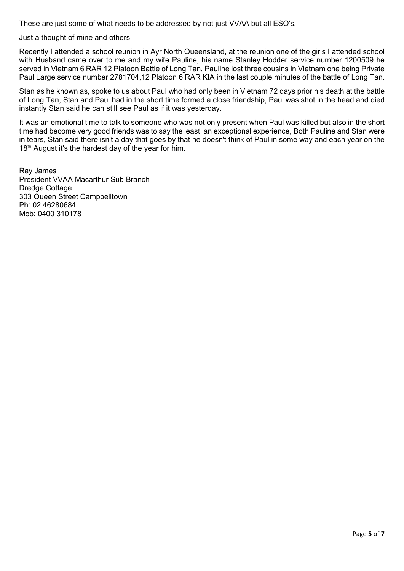These are just some of what needs to be addressed by not just VVAA but all ESO's.

Just a thought of mine and others.

Recently I attended a school reunion in Ayr North Queensland, at the reunion one of the girls I attended school with Husband came over to me and my wife Pauline, his name Stanley Hodder service number 1200509 he served in Vietnam 6 RAR 12 Platoon Battle of Long Tan, Pauline lost three cousins in Vietnam one being Private Paul Large service number 2781704,12 Platoon 6 RAR KIA in the last couple minutes of the battle of Long Tan.

Stan as he known as, spoke to us about Paul who had only been in Vietnam 72 days prior his death at the battle of Long Tan, Stan and Paul had in the short time formed a close friendship, Paul was shot in the head and died instantly Stan said he can still see Paul as if it was yesterday.

It was an emotional time to talk to someone who was not only present when Paul was killed but also in the short time had become very good friends was to say the least an exceptional experience, Both Pauline and Stan were in tears, Stan said there isn't a day that goes by that he doesn't think of Paul in some way and each year on the 18<sup>th</sup> August it's the hardest day of the year for him.

Ray James President VVAA Macarthur Sub Branch Dredge Cottage 303 Queen Street Campbelltown Ph: 02 46280684 Mob: 0400 310178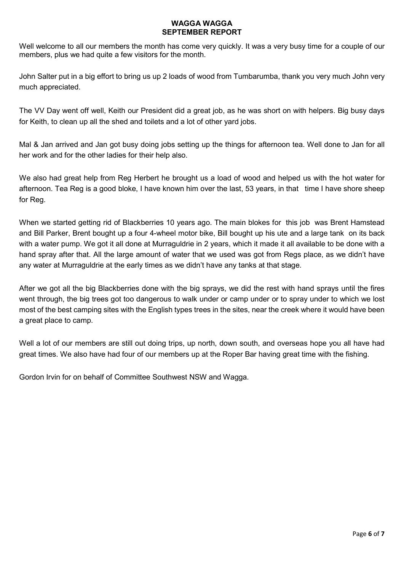#### WAGGA WAGGA SEPTEMBER REPORT

Well welcome to all our members the month has come very quickly. It was a very busy time for a couple of our members, plus we had quite a few visitors for the month.

John Salter put in a big effort to bring us up 2 loads of wood from Tumbarumba, thank you very much John very much appreciated.

The VV Day went off well, Keith our President did a great job, as he was short on with helpers. Big busy days for Keith, to clean up all the shed and toilets and a lot of other yard jobs.

Mal & Jan arrived and Jan got busy doing jobs setting up the things for afternoon tea. Well done to Jan for all her work and for the other ladies for their help also.

We also had great help from Reg Herbert he brought us a load of wood and helped us with the hot water for afternoon. Tea Reg is a good bloke, I have known him over the last, 53 years, in that time I have shore sheep for Reg.

When we started getting rid of Blackberries 10 years ago. The main blokes for this job was Brent Hamstead and Bill Parker, Brent bought up a four 4-wheel motor bike, Bill bought up his ute and a large tank on its back with a water pump. We got it all done at Murraguldrie in 2 years, which it made it all available to be done with a hand spray after that. All the large amount of water that we used was got from Regs place, as we didn't have any water at Murraguldrie at the early times as we didn't have any tanks at that stage.

After we got all the big Blackberries done with the big sprays, we did the rest with hand sprays until the fires went through, the big trees got too dangerous to walk under or camp under or to spray under to which we lost most of the best camping sites with the English types trees in the sites, near the creek where it would have been a great place to camp.

Well a lot of our members are still out doing trips, up north, down south, and overseas hope you all have had great times. We also have had four of our members up at the Roper Bar having great time with the fishing.

Gordon Irvin for on behalf of Committee Southwest NSW and Wagga.